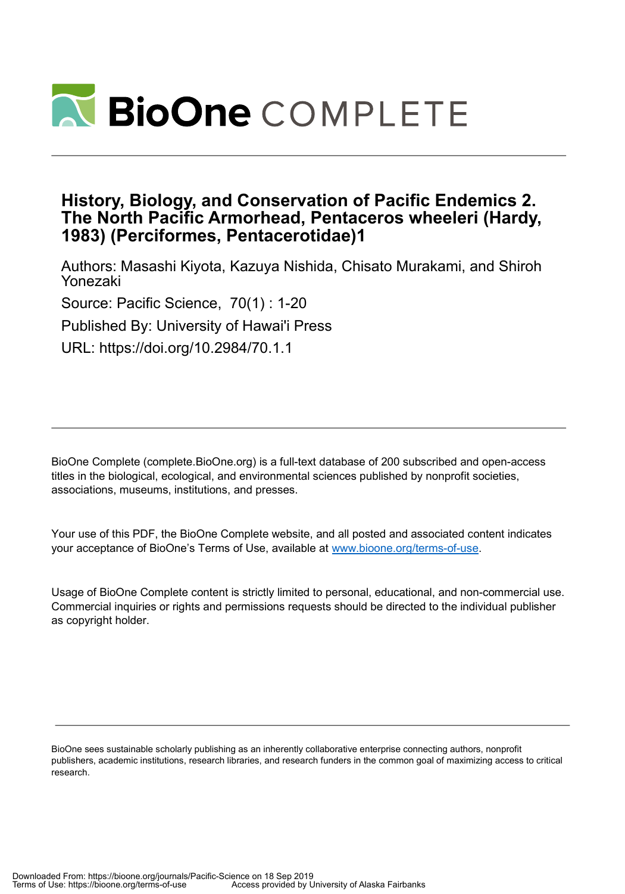

# **History, Biology, and Conservation of Pacific Endemics 2. The North Pacific Armorhead, Pentaceros wheeleri (Hardy, 1983) (Perciformes, Pentacerotidae)1**

Authors: Masashi Kiyota, Kazuya Nishida, Chisato Murakami, and Shiroh Yonezaki Source: Pacific Science, 70(1) : 1-20 Published By: University of Hawai'i Press URL: https://doi.org/10.2984/70.1.1

BioOne Complete (complete.BioOne.org) is a full-text database of 200 subscribed and open-access titles in the biological, ecological, and environmental sciences published by nonprofit societies, associations, museums, institutions, and presses.

Your use of this PDF, the BioOne Complete website, and all posted and associated content indicates your acceptance of BioOne's Terms of Use, available at www.bioone.org/terms-of-use.

Usage of BioOne Complete content is strictly limited to personal, educational, and non-commercial use. Commercial inquiries or rights and permissions requests should be directed to the individual publisher as copyright holder.

BioOne sees sustainable scholarly publishing as an inherently collaborative enterprise connecting authors, nonprofit publishers, academic institutions, research libraries, and research funders in the common goal of maximizing access to critical research.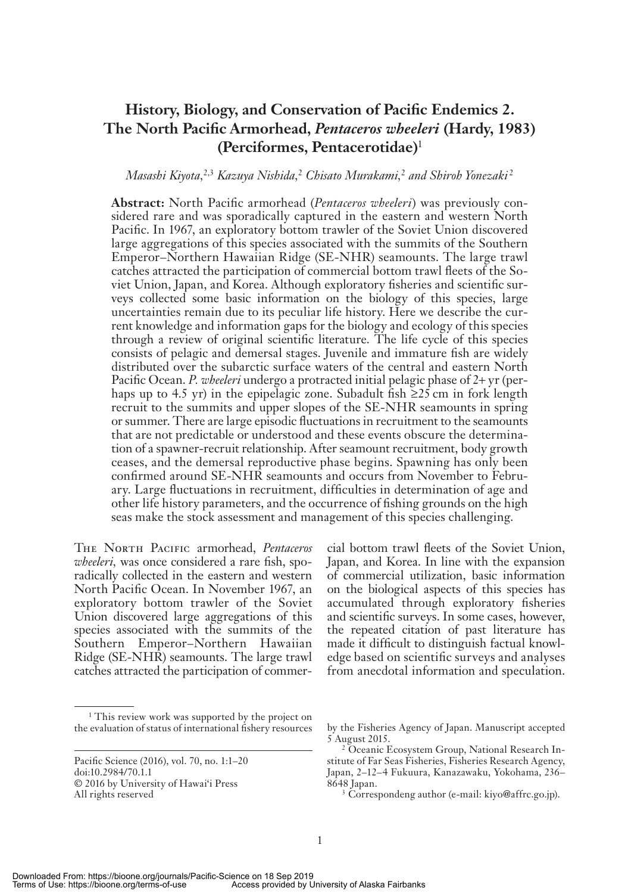# **History, Biology, and Conservation of Pacific Endemics 2. The North Pacific Armorhead,** *Pentaceros wheeleri* **(Hardy, 1983) (Perciformes, Pentacerotidae)** <sup>1</sup>

# Masashi Kiyota,<sup>2,3</sup> Kazuya Nishida,<sup>2</sup> Chisato Murakami,<sup>2</sup> and Shiroh Yonezaki<sup>2</sup>

Abstract: North Pacific armorhead (Pentaceros wheeleri) was previously considered rare and was sporadically captured in the eastern and western North Pacific. In 1967, an exploratory bottom trawler of the Soviet Union discovered large aggregations of this species associated with the summits of the Southern Emperor-Northern Hawaiian Ridge (SE-NHR) seamounts. The large trawl catches attracted the participation of commercial bottom trawl fleets of the Soviet Union, Japan, and Korea. Although exploratory fisheries and scientific surveys collected some basic information on the biology of this species, large uncertainties remain due to its peculiar life history. Here we describe the current knowledge and information gaps for the biology and ecology of this species through a review of original scientific literature. The life cycle of this species consists of pelagic and demersal stages. Juvenile and immature fish are widely distributed over the subarctic surface waters of the central and eastern North Pacific Ocean. *P. wheeleri* undergo a protracted initial pelagic phase of 2+ yr (perhaps up to 4.5 yr) in the epipelagic zone. Subadult fish  $\geq 25$  cm in fork length recruit to the summits and upper slopes of the SE-NHR seamounts in spring or summer. There are large episodic fluctuations in recruitment to the seamounts that are not predictable or understood and these events obscure the determination of a spawner-recruit relationship. After seamount recruitment, body growth ceases, and the demersal reproductive phase begins. Spawning has only been confirmed around SE-NHR seamounts and occurs from November to February. Large fluctuations in recruitment, difficulties in determination of age and other life history parameters, and the occurrence of fishing grounds on the high seas make the stock assessment and management of this species challenging.

THE NORTH PACIFIC armorhead, Pentaceros *wheeleri*, was once considered a rare fish, sporadically collected in the eastern and western North Pacific Ocean. In November 1967, an exploratory bottom trawler of the Soviet Union discovered large aggregations of this species associated with the summits of the Southern Emperor-Northern Hawaiian Ridge (SE-NHR) seamounts. The large trawl catches attracted the participation of commer-

cial bottom trawl fleets of the Soviet Union, Japan, and Korea. In line with the expansion of commercial utilization, basic information on the biological aspects of this species has accumulated through exploratory fisheries and scientific surveys. In some cases, however, the repeated citation of past literature has made it difficult to distinguish factual knowledge based on scientific surveys and analyses from anecdotal information and speculation.

<sup>&</sup>lt;sup>1</sup> This review work was supported by the project on the evaluation of status of international fishery resources by the Fisheries Agency of Japan. Manuscript accepted

Pacific Science (2016), vol. 70, no. 1:1-20 doi:10.2984/70.1.1 © 2016 by University of Hawai'i Press All rights re served

<sup>5</sup> Au gust 2015.

<sup>&</sup>lt;sup>2</sup> Oceanic Ecosystem Group, National Research Institute of Far Seas Fisheries , Fisheries Research Agency, Japan, 2-12-4 Fukuura, Kanazawaku, Yokohama, 236-8648 Japan.<br><sup>3</sup> Correspondeng author (e-mail: kiyo@affrc.go.jp).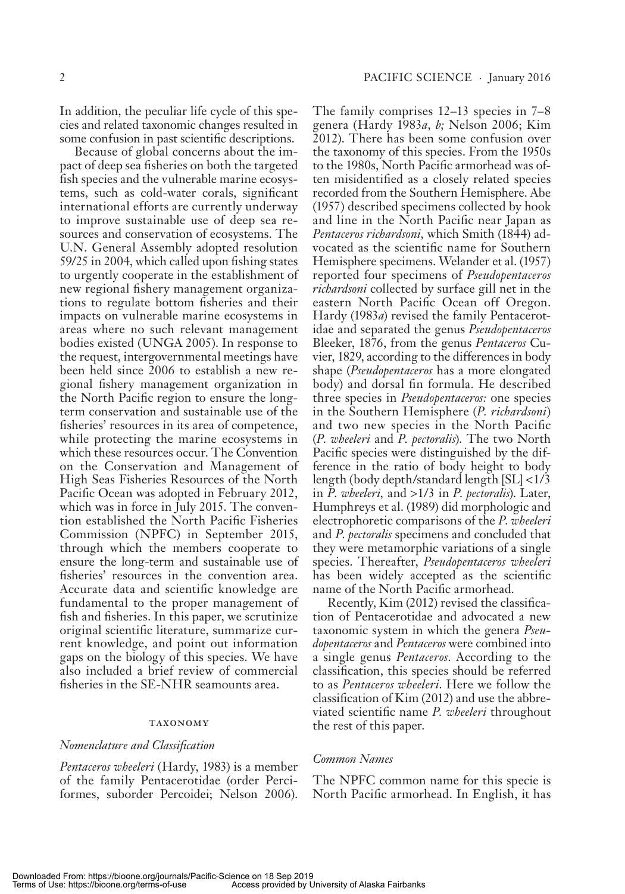In addition, the peculiar life cycle of this species and related taxonomic changes resulted in some confusion in past scientific descriptions.

Because of global concerns about the impact of deep sea fisheries on both the targeted fish species and the vulnerable marine ecosystems, such as cold-water corals, significant international efforts are currently underway to improve sustainable use of deep sea resources and conservation of ecosystems. The U.N. General Assembly adopted resolution 59/25 in 2004, which called upon fishing states to urgently cooperate in the establishment of new regional fishery management organizations to regulate bottom fisheries and their impacts on vulnerable marine ecosystems in areas where no such relevant management bodies existed (UNGA 2005). In response to the request, intergovernmental meetings have been held since 2006 to establish a new regional fishery management organization in the North Pacific region to ensure the longterm conservation and sustainable use of the fisheries' resources in its area of competence, while protecting the marine ecosystems in which these resources occur. The Convention on the Conservation and Management of High Seas Fisheries Resources of the North Pacific Ocean was adopted in February 2012, which was in force in July 2015. The convention established the North Pacific Fisheries Commission (NPFC) in September 2015, through which the members cooperate to ensure the long-term and sustainable use of fisheries' resources in the convention area. Accurate data and scientific knowledge are fundamental to the proper management of fish and fisheries. In this paper, we scrutinize original scientific literature, summarize current knowledge, and point out information gaps on the biology of this species. We have also included a brief review of commercial fisheries in the SE-NHR seamounts area.

#### tax on o my

#### *Nomenclature and Classification*

*Pentaceros wheeleri* (Hardy, 1983) is a member of the family Pentacerotidae (order Perciformes, suborder Percoidei; Nelson 2006).

The family comprises  $12-13$  species in  $7-8$ genera (Hardy 1983*a*, *b*; Nelson 2006; Kim 2012). There has been some confusion over the taxonomy of this species. From the 1950s to the 1980s, North Pacific armorhead was often misidentified as a closely related species recorded from the Southern Hemisphere. Abe  $(1957)$  described specimens collected by hook and line in the North Pacific near Japan as *Pentaceros richardsoni,* which Smith (1844) advocated as the scientific name for Southern Hemisphere specimens. Welander et al. (1957) reported four specimens of *Pseudopentaceros richardsoni* collected by surface gill net in the eastern North Pacific Ocean off Oregon. Hardy (1983*a*) revised the family Pentacerotidae and separated the genus *Pseudopentaceros* Bleeker, 1876, from the genus *Pentaceros* Cuvier, 1829, according to the differences in body shape (*Pseudopentaceros* has a more elongated body) and dorsal fin formula. He described three species in *Pseudopentaceros*: one species in the Southern Hemisphere (*P. richardsoni*) and two new species in the North Pacific ( *P*. *wheeleri* and *P*. *pectoralis*). The two North Pacific species were distinguished by the difference in the ratio of body height to body length (body depth/standard length  $SL$   $\leq$  1/3 in *P. wheeleri*, and > 1/3 in *P. pectoralis*). Later, Humphreys et al. (1989) did morphologic and electrophoretic comparisons of the *P*. *wheeleri* and *P. pectoralis* specimens and concluded that they were metamorphic variations of a single spe cies. Thereafter, *Pseudopentaceros wheeleri* has been widely accepted as the scientific name of the North Pacific armorhead.

Recently, Kim (2012) revised the classification of Pentacerotidae and advocated a new taxonomic system in which the genera *Pseudopentaceros* and *Pentaceros* were com bined into a single genus *Pentaceros*. According to the classification, this species should be referred to as *Pentaceros wheeleri*. Here we follow the classification of Kim  $(2012)$  and use the abbreviated scientific name *P. wheeleri* throughout the rest of this paper.

#### *Common Names*

The NPFC common name for this specie is North Pacific armorhead. In English, it has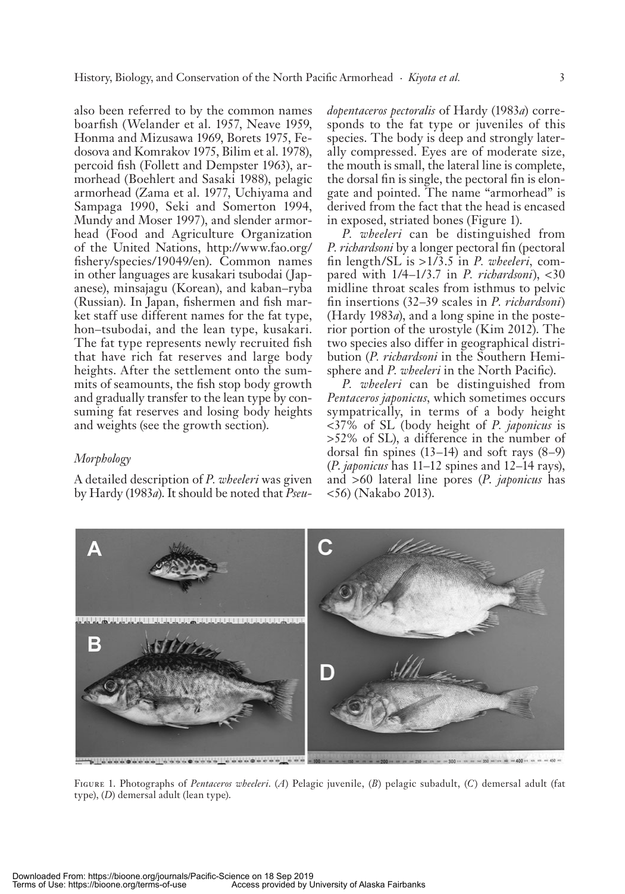also been referred to by the common names boarfish (Welander et al. 1957, Neave 1959, Honma and Mizusawa 1969, Borets 1975, Fedosova and Komrakov 1975, Bilim et al. 1978), percoid fish (Follett and Dempster 1963), armorhead (Boehlert and Sasaki 1988), pelagic armorhead (Zama et al. 1977, Uchiyama and Sampaga 1990, Seki and Somerton 1994, Mundy and Moser 1997), and slender armorhead (Food and Agriculture Organization of the United Nations, http://www.fao.org/ fishery/species/19049/en). Common names in other languages are kusakari tsubodai (Japanese), minsajagu (Korean), and kaban–ryba (Russian). In Japan, fishermen and fish market staff use different names for the fat type, hon-tsubodai, and the lean type, kusakari. The fat type represents newly recruited fish that have rich fat reserves and large body heights. After the settlement onto the summits of seamounts, the fish stop body growth and gradually transfer to the lean type by consuming fat reserves and losing body heights and weights (see the growth section).

# *Morphology*

A de tailed de scrip tion of *P. wheeleri* was given by Hardy (1983 *a*). It should be noted that *Pseu-* *dopentaceros pectoralis* of Hardy (1983*a*) corresponds to the fat type or juveniles of this species. The body is deep and strongly laterally compressed. Eyes are of moderate size, the mouth is small, the lateral line is complete, the dorsal fin is single, the pectoral fin is elongate and pointed. The name " armorhead" is derived from the fact that the head is encased in exposed, striated bones (Figure 1).

*P. wheeleri* can be distinguished from *P. richardsoni* by a longer pectoral fin (pectoral fin length/SL is >1/3.5 in *P. wheeleri*, compared with  $1/4 - 1/3.7$  in *P. richardsoni*), <30 midline throat scales from isthmus to pelvic fin insertions (32–39 scales in *P. richardsoni*)  $(Hardy 1983a)$ , and a long spine in the posterior portion of the urostyle (Kim 2012). The two species also differ in geographical distribution (*P. richardsoni* in the Southern Hemisphere and *P. wheeleri* in the North Pacific).

*P. wheeleri* can be distinguished from *Pentaceros japonicus,* which sometimes occurs sympatrically, in terms of a body height < 37 % of SL (body height of *P. japonicus* is  $>52\%$  of SL), a difference in the number of dorsal fin spines  $(13-14)$  and soft rays  $(8-9)$ ( *P*. *japonicus* has 11 – 12 spines and 12 – 14 rays), and >60 lateral line pores (*P. japonicus* has < 56) (Nakabo 2013).



FIGURE 1. Photographs of *Pentaceros wheeleri*. (A) Pelagic juvenile, (B) pelagic subadult, (C) demersal adult (fat type), (D) demersal adult (lean type).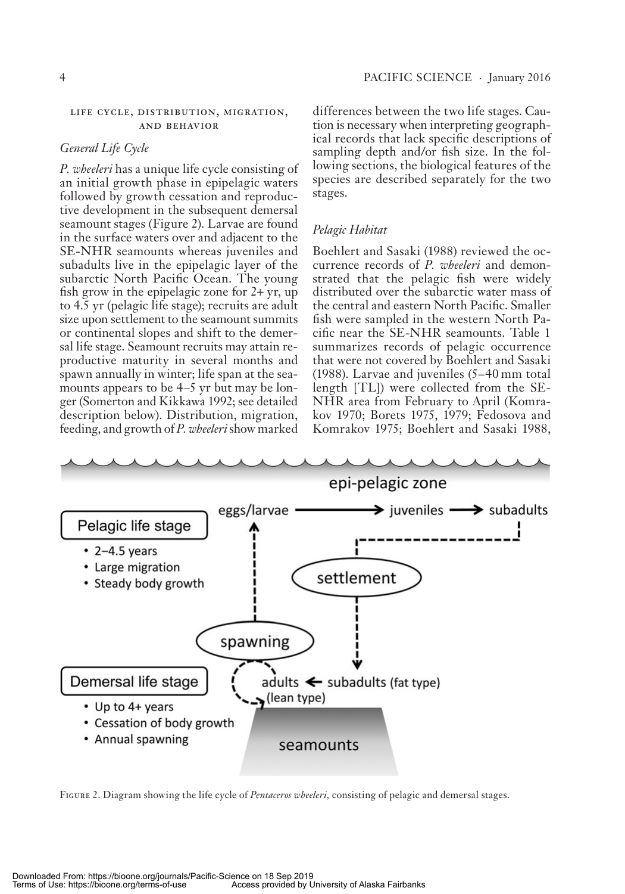#### LIFE CYCLE, DISTRIBUTION, MIGRATION, AND BEHAVIOR

### *General Life Cycle*

*P. wheeleri* has a unique life cycle consisting of an initial growth phase in epipelagic waters followed by growth cessation and reproductive development in the subsequent demersal sea mount stages (Figure 2). Larvae are found in the surface waters over and adjacent to the SE-NHR seamounts whereas juveniles and subadults live in the epipelagic layer of the subarctic North Pacific Ocean. The young fish grow in the epipelagic zone for  $2 + yr$ , up to 4.5 yr (pelagic life stage); recruits are adult size upon settlement to the seamount summits or continental slopes and shift to the demersal life stage. Seamount recruits may attain reproductive maturity in several months and spawn annually in winter; life span at the seamounts appears to be  $4-5$  yr but may be longer (Somerton and Kikkawa 1992; see detailed description below). Distribution, migration, feed ing, and growth of *P. wheeleri* show marked

differences between the two life stages. Caution is necessary when interpreting geographical records that lack specific descriptions of sampling depth and/or fish size. In the following sections, the biological features of the species are described separately for the two stages.

### *Pelagic Habitat*

Boehlert and Sasaki (1988) reviewed the occurrence records of *P. wheeleri* and demonstrated that the pelagic fish were widely distributed over the subarctic water mass of the central and eastern North Pacific. Smaller fish were sampled in the western North Pacific near the SE-NHR seamounts. Table 1 summarizes records of pelagic occurrence that were not covered by Boehlert and Sasaki (1988). Larvae and juveniles  $(5-40 \,\mathrm{mm})$  total length [TL]) were collected from the SE-NHR area from February to April (Komrakov 1970; Borets 1975, 1979; Fedosova and Komrakov 1975; Boehlert and Sasaki 1988,



FIGURE 2. Diagram showing the life cycle of *Pentaceros wheeleri*, consisting of pelagic and demersal stages.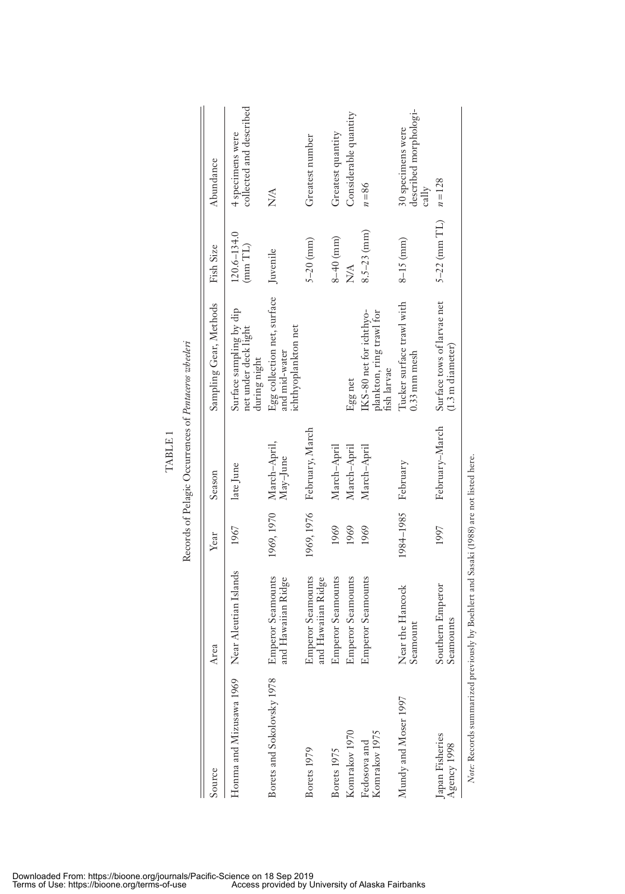|                                                                                        |                                                |                    | Records of Pelagic Occurrences of Pentaceros wheeleri |                                                                     |                                             |                                                     |
|----------------------------------------------------------------------------------------|------------------------------------------------|--------------------|-------------------------------------------------------|---------------------------------------------------------------------|---------------------------------------------|-----------------------------------------------------|
| Source                                                                                 | Area                                           | Year               | Season                                                | Sampling Gear, Methods                                              | Fish Size                                   | Abundance                                           |
| Honma and Mizusawa 1969                                                                | Near Aleutian Islands                          | 1967               | late June                                             | Surface sampling by dip<br>net under deck light<br>during night     | $120.6 - 134.0$<br>$(\text{mm} \text{ TL})$ | collected and described<br>4 specimens were         |
| Borets and Sokolovsky 1978                                                             | <b>Emperor Seamounts</b><br>and Hawaiian Ridge | 1969, 1970         | March–April,<br>May–June                              | Egg collection net, surface<br>ichthyoplankton net<br>and mid-water | Juvenile                                    | <b>NA</b>                                           |
| Borets 1979                                                                            | <b>Emperor Seamounts</b><br>and Hawaiian Ridge |                    | 1969, 1976 February, March                            |                                                                     | $5 - 20$ (mm)                               | Greatest number                                     |
| Borets 1975                                                                            | <b>Emperor Seamounts</b>                       | 1969               | March-April                                           |                                                                     | $8 - 40$ (mm)                               | Greatest quantity                                   |
| Komrakov 1970                                                                          | <b>Emperor Seamounts</b>                       | 1969               | March-April                                           | Egg net                                                             | N/A                                         | Considerable quantity                               |
| Komrakov 1975<br>Fedosova and                                                          | <b>Emperor Seamounts</b>                       | 1969               | March-April                                           | IKS-80 net for ichthyo-<br>plankton, ring trawl for<br>fish larvae  | $8.5 - 23$ (mm)                             | $n = 86$                                            |
| Mundy and Moser 1997                                                                   | Near the Hancock<br>Seamount                   | 1984-1985 February |                                                       | Tucker surface trawl with<br>$0.33$ mm mesh                         | $8-15$ (mm)                                 | described morphologi-<br>30 specimens were<br>cally |
| Japan Fisheries<br>Agency 1998                                                         | Southern Emperor<br>seamounts                  | 1997               | February-March                                        | Surface tows of larvae net<br>$(1.3 \text{ m diameter})$            | $5-22$ (mm $TL$ )                           | $n = 128$                                           |
| Note: Records summarized previously by Boehlert and Sasaki (1988) are not listed here. |                                                |                    |                                                       |                                                                     |                                             |                                                     |

TABLE 1

TABLE 1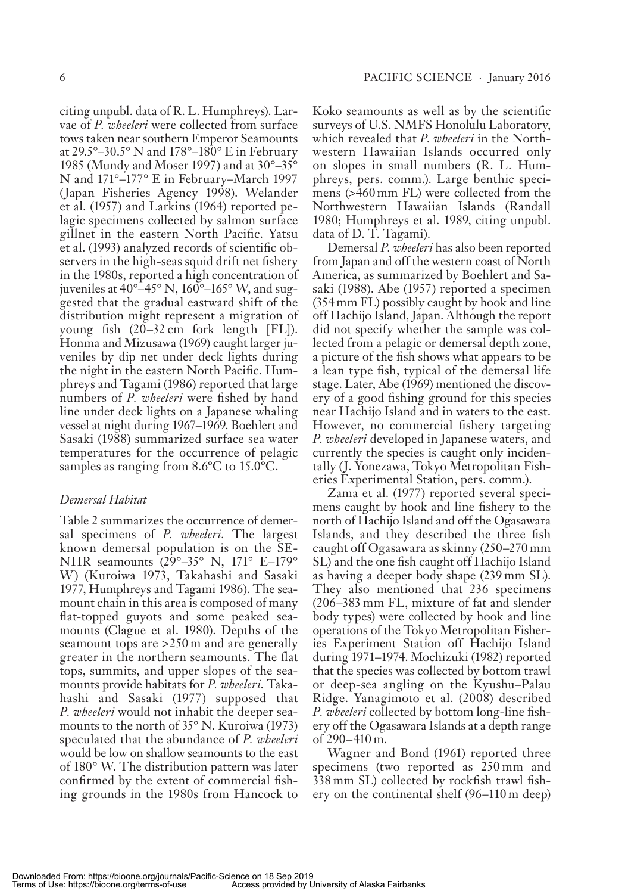cit ing unpubl. data of R. L. Humphreys). Larvae of *P. wheeleri* were collected from surface tows taken near southern Emperor Seamounts at  $29.5^{\circ}$ –30.5° N and  $178^{\circ}$ –180° E in February 1985 (Mundy and Moser 1997) and at  $30^{\circ} - 35^{\circ}$ N and  $171^\circ - 177^\circ$  E in February–March 1997 (Japan Fisheries Agency 1998). Welander et al. (1957) and Larkins (1964) reported pelagic specimens collected by salmon surface gillnet in the eastern North Pacific. Yatsu et al. (1993) analyzed records of scientific observers in the high-seas squid drift net fishery in the 1980s, reported a high concentration of juveniles at  $40^\circ - 45^\circ$  N,  $160^\circ - 165^\circ$  W, and suggested that the gradual eastward shift of the distribution might represent a migration of young fish  $(20-32 \text{ cm} \text{ fork length} [FL])$ . Honma and Mizusawa (1969) caught larger juveniles by dip net under deck lights during the night in the eastern North Pacific. Humphreys and Tagami (1986) reported that large numbers of *P. wheeleri* were fished by hand line under deck lights on a Japanese whaling vessel at night during 1967-1969. Boehlert and Sasaki (1988) summarized surface sea water tem per atures for the occurrence of pelagic samples as ranging from  $8.6^{\circ}$ C to  $15.0^{\circ}$ C.

### *Demersal Habitat*

Table 2 summarizes the occurrence of demersal specimens of *P. wheeleri*. The largest known demersal population is on the SE-NHR seamounts  $(29^\circ - 35^\circ)$  N,  $171^\circ$  E-179° W) (Kuroiwa 1973, Takahashi and Sasaki 1977, Humphreys and Tagami 1986). The seamount chain in this area is composed of many flat-topped guyots and some peaked seamounts (Clague et al. 1980). Depths of the sea mount tops are  $>250 \text{ m}$  and are generally greater in the northern seamounts. The flat tops, sum mits, and up per slopes of the seamounts provide habitats for *P. wheeleri*. Takahashi and Sasaki (1977) supposed that *P. wheeleri* would not inhabit the deeper seamounts to the north of  $35^{\circ}$  N. Kuroiwa (1973) speculated that the abundance of *P. wheeleri* would be low on shallow seamounts to the east of  $180^{\circ}$  W. The distribution pattern was later confirmed by the extent of commercial fishing grounds in the 1980s from Hancock to Koko seamounts as well as by the scientific sur veys of U.S. NMFS Honolulu Laboratory, which revealed that *P. wheeleri* in the Northwestern Hawaiian Islands occurred only on slopes in small numbers (R. L. Humphreys, pers. comm.). Large benthic specimens (>460 mm FL) were collected from the Northwestern Hawaiian Islands (Randall 1980; Humphreys et al. 1989, citing unpubl. data of D. T. Tagami).

Demersal *P. wheeleri* has also been reported from Japan and off the western coast of North America, as summarized by Boehlert and Sasaki (1988). Abe (1957) reported a specimen  $(354 \,\mathrm{mm}\, \mathrm{FL})$  possibly caught by hook and line off Hachijo Island, Japan. Although the report did not specify whether the sample was collected from a pelagic or demersal depth zone, a picture of the fish shows what appears to be a lean type fish, typical of the demersal life stage. Later, Abe (1969) mentioned the discovery of a good fishing ground for this species near Hachijo Island and in waters to the east. However, no commercial fishery targeting *P. wheeleri* developed in Japanese waters, and currently the species is caught only incidentally (J. Yonezawa, Tokyo Metropolitan Fisheries Experimental Station, pers. comm.).

Zama et al. (1977) reported several specimens caught by hook and line fishery to the north of Hachijo Island and off the Ogasawara Islands, and they described the three fish caught off Ogasawara as skinny (250–270 mm SL) and the one fish caught off Hachijo Island as having a deeper body shape (239 mm SL). They also mentioned that 236 specimens (206–383 mm FL, mixture of fat and slender body types) were collected by hook and line operations of the Tokyo Metropolitan Fisheries Experiment Station off Hachijo Island during 1971–1974. Mochizuki (1982) reported that the species was collected by bottom trawl or deep-sea angling on the Kyushu–Palau Ridge. Yanagimoto et al. (2008) described *P. wheeleri* collected by bottom long-line fishery off the Ogasawara Islands at a depth range of 290 – 410 m.

Wagner and Bond (1961) reported three specimens (two reported as 250 mm and 338 mm SL) collected by rockfish trawl fishery on the continental shelf  $(96-110 \text{ m} \text{ deep})$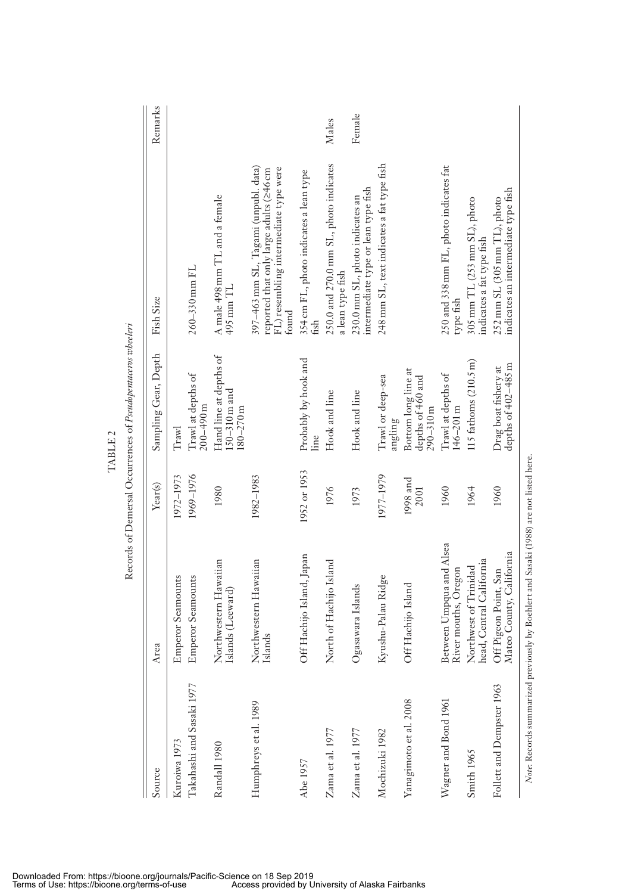| Source                    | Area                                                                                   | Year(s)          | Sampling Gear, Depth                                       | Fish Size                                                                                                                         | Remarks |
|---------------------------|----------------------------------------------------------------------------------------|------------------|------------------------------------------------------------|-----------------------------------------------------------------------------------------------------------------------------------|---------|
| Kuroiwa 1973              | <b>Emperor Seamounts</b>                                                               | 1972-1973        | Trawl                                                      |                                                                                                                                   |         |
| Takahashi and Sasaki 1977 | Emperor Seamounts                                                                      | 1969-1976        | Trawl at depths of<br>$200 - 490$ m                        | 260-330 mm FL                                                                                                                     |         |
| Randall 1980              | Northwestern Hawaiian<br>slands (Leeward)                                              | 1980             | Hand line at depths of<br>$150-310$ m and<br>$180 - 270$ m | A male 498 mm TL and a female<br>$495$ mm $TL$                                                                                    |         |
| Humphreys et al. 1989     | Northwestern Hawaiian<br>slands                                                        | 1982-1983        |                                                            | 397-463 mm SL, Tagami (unpubl. data)<br>FL) resembling intermediate type were<br>reported that only large adults (≥46 cm<br>tound |         |
| Abe 1957                  | Off Hachijo Island, Japan                                                              | 1952 or 1953     | Probably by hook and<br>Line                               | 354 cm FL, photo indicates a lean type<br>fish                                                                                    |         |
| Zama et al. 1977          | North of Hachijo Island                                                                | 1976             | Hook and line                                              | 250.0 and 270.0 mm SL, photo indicates<br>a lean type fish                                                                        | Males   |
| Zama et al. 1977          | Ogasawara Islands                                                                      | 1973             | Hook and line                                              | intermediate type or lean type fish<br>230.0 mm SL, photo indicates an                                                            | Female  |
| Mochizuki 1982            | Kyushu-Palau Ridge                                                                     | 1977-1979        | Trawl or deep-sea<br>angling                               | 248 mm SL, text indicates a fat type fish                                                                                         |         |
| Yanagimoto et al. 2008    | Off Hachijo Island                                                                     | 1998 and<br>2001 | Bottom long line at<br>depths of 460 and<br>$290 - 310$ m  |                                                                                                                                   |         |
| Wagner and Bond 1961      | Between Umpqua and Alsea<br>River mouths, Oregon                                       | 1960             | Trawl at depths of<br>$146 - 201$ m                        | 250 and 338 mm FL, photo indicates fat<br>type fish                                                                               |         |
| Smith 1965                | nead, Central California<br>Northwest of Trinidad                                      | 1964             | 115 fathoms $(210.5 \text{ m})$                            | 305 mm TL (253 mm SL), photo<br>indicates a fat type fish                                                                         |         |
| Follett and Dempster 1963 | Mateo County, California<br>Off Pigeon Point, San                                      | 1960             | depths of 402-485 m<br>Drag boat fishery at                | indicates an intermediate type fish<br>$252 \text{ mm}$ SL (305 mm TL), photo                                                     |         |
|                           | Note: Records summarized previously by Boehlert and Sasaki (1988) are not listed here. |                  |                                                            |                                                                                                                                   |         |

TABLE 2

TABLE 2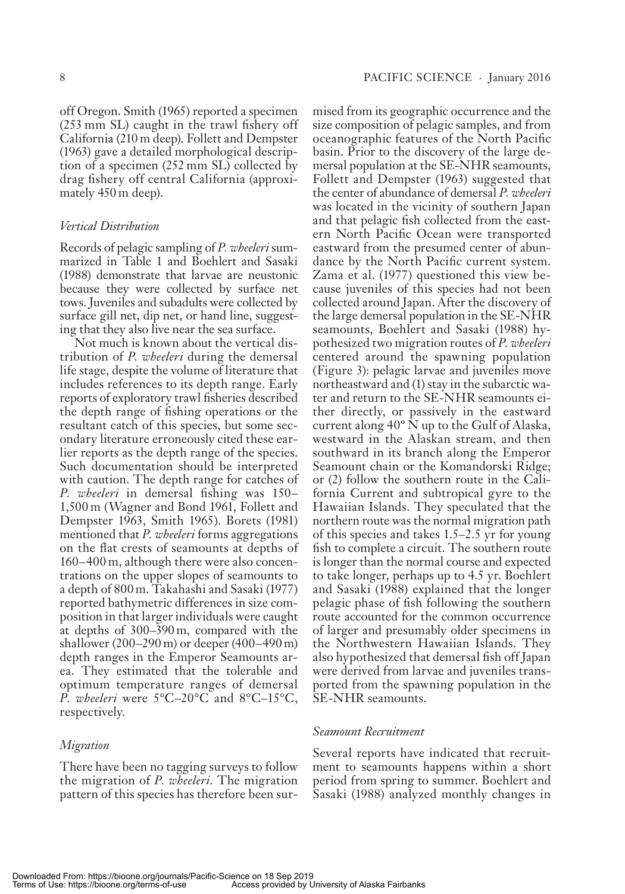off Oregon. Smith (1965) reported a specimen  $(253 \text{ mm} \text{ SL})$  caught in the trawl fishery off California (210 m deep). Follett and Dempster  $(1963)$  gave a detailed morphological description of a specimen  $(252 \text{ mm} \text{ SL})$  collected by drag fishery off central California (approximately 450 m deep).

### *Vertical Distribution*

Records of pelagic sampling of *P. wheeleri* summarized in Table 1 and Boehlert and Sasaki (1988) demonstrate that larvae are neustonic because they were collected by surface net tows. Juveniles and subadults were collected by surface gill net, dip net, or hand line, suggesting that they also live near the sea surface.

Not much is known about the vertical distribution of *P. wheeleri* during the demersal life stage, despite the volume of literature that includes references to its depth range. Early reports of exploratory trawl fisheries described the depth range of fishing operations or the resultant catch of this species, but some secondary literature erroneously cited these earlier reports as the depth range of the species. Such documentation should be interpreted with caution. The depth range for catches of P. wheeleri in demersal fishing was 150-1,500 m (Wagner and Bond 1961, Follett and Dempster 1963, Smith 1965). Borets (1981) mentioned that *P. wheeleri* forms aggregations on the flat crests of seamounts at depths of  $160 - 400$  m, although there were also concentrations on the upper slopes of seamounts to a depth of 800 m. Takahashi and Sasaki (1977) reported bathymetric differences in size composition in that larger individuals were caught at depths of  $300-390 \text{ m}$ , compared with the shallower (200–290 m) or deeper (400–490 m) depth ranges in the Emperor Seamounts area. They estimated that the tolerable and optimum temperature ranges of demersal *P. wheeleri* were  $5^{\circ}$ C-20 $^{\circ}$ C and  $8^{\circ}$ C-15 $^{\circ}$ C, respectively.

### *Migration*

There have been no tagging surveys to follow the migration of *P. wheeleri*. The migration pattern of this species has therefore been surmised from its geographic occurrence and the size composition of pelagic samples, and from ocean ographic features of the North Pacific basin. Prior to the discovery of the large demersal population at the SE-NHR seamounts, Follett and Dempster (1963) suggested that the center of abundance of demersal *P. wheeleri* was located in the vicinity of southern Japan and that pelagic fish collected from the eastern North Pacific Ocean were transported eastward from the presumed center of abundance by the North Pacific current system. Zama et al. (1977) questioned this view because juveniles of this species had not been collected around Japan. After the discovery of the large demersal population in the SE-NHR seamounts, Boehlert and Sasaki (1988) hypothesized two migration routes of *P. wheeleri* centered around the spawning population (Figure 3): pelagic larvae and juveniles move northeastward and (1) stay in the subarctic water and return to the SE-NHR seamounts either directly, or passively in the eastward current along  $40^{\circ}$  N up to the Gulf of Alaska, westward in the Alaskan stream, and then southward in its branch along the Emperor Seamount chain or the Komandorski Ridge; or  $(2)$  follow the southern route in the California Current and subtropical gyre to the Hawaiian Islands. They speculated that the northern route was the normal migration path of this species and takes  $1.5-2.5$  yr for young fish to complete a circuit. The southern route is longer than the normal course and expected to take longer, perhaps up to 4.5 yr. Boehlert and Sasaki (1988) explained that the longer pelagic phase of fish following the southern route accounted for the common occurrence of larger and presumably older specimens in the Northwestern Hawaiian Islands. They also hypothesized that demersal fish off Japan were derived from larvae and juveniles transported from the spawning population in the SE-NHR seamounts.

# *Seamount Recruitment*

Several reports have indicated that recruitment to seamounts happens within a short period from spring to summer. Boehlert and Sasaki (1988) analyzed monthly changes in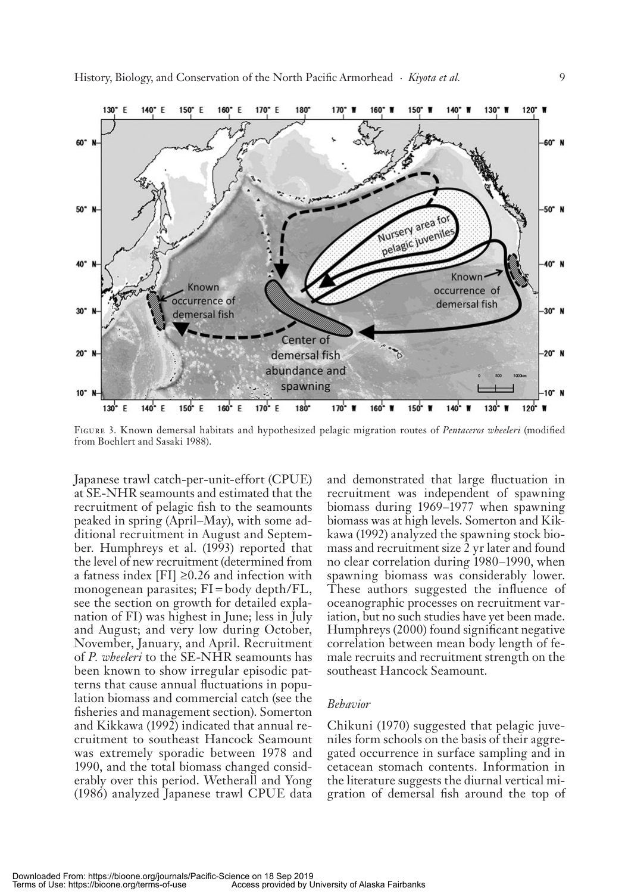

FIGURE 3. Known demersal habitats and hypothesized pelagic migration routes of *Pentaceros wheeleri* (modified from Boehlert and Sasaki 1988).

Japanese trawl catch-per-unit-effort (CPUE) at SE-NHR seamounts and estimated that the recruitment of pelagic fish to the seamounts peaked in spring (April–May), with some additional recruitment in August and September. Humphreys et al. (1993) reported that the level of new recruitment (determined from a fatness index [FI]  $\geq$ 0.26 and infection with monogenean parasites;  $FI = body depth/FL$ , see the section on growth for detailed explanation of FI) was highest in June; less in July and August; and very low during October, November, January, and April. Recruitment of *P. wheeleri* to the SE-NHR seamounts has been known to show irregular episodic patterns that cause annual fluctuations in population biomass and commercial catch (see the fisheries and management section). Somerton and Kikkawa (1992) indicated that annual recruitment to southeast Hancock Seamount was extremely sporadic between 1978 and 1990, and the total biomass changed considerably over this period. Wetherall and Yong (1986) analyzed Japanese trawl CPUE data and demonstrated that large fluctuation in recruitment was independent of spawning biomass during 1969–1977 when spawning biomass was at high levels. Somerton and Kikkawa (1992) analyzed the spawning stock biomass and recruitment size 2 yr later and found no clear correlation during 1980–1990, when spawning biomass was considerably lower. These authors suggested the influence of oceanographic processes on recruitment variation, but no such studies have yet been made. Humphreys (2000) found significant negative correlation between mean body length of female recruits and recruitment strength on the southeast Hancock Seamount.

#### *Behavior*

Chikuni (1970) suggested that pelagic juveniles form schools on the basis of their aggregated occurrence in surface sampling and in cetacean stomach contents. Information in the literature suggests the diurnal vertical migration of demersal fish around the top of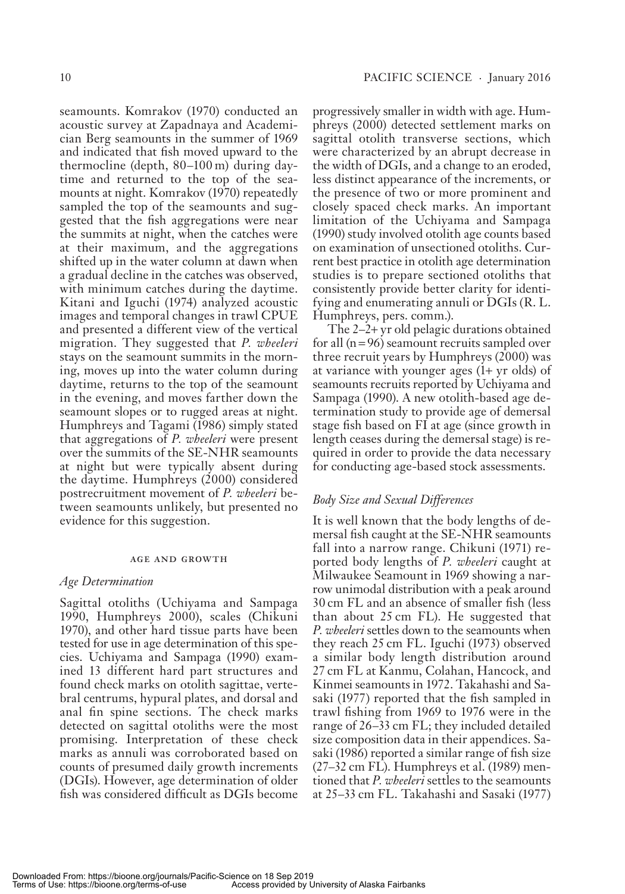sea mounts. Komrakov (1970) conducted an acoustic survey at Zapadnaya and Academician Berg seamounts in the summer of 1969 and indicated that fish moved upward to the ther moodine (depth,  $80 - 100$  m) during daytime and returned to the top of the seamounts at night. Komrakov (1970) repeatedly sampled the top of the seamounts and suggested that the fish aggregations were near the sum mits at night, when the catches were at their maximum, and the aggregations shifted up in the water column at dawn when a gradual decline in the catches was observed, with minimum catches during the day time. Kitani and Iguchi (1974) analyzed acoustic images and temporal changes in trawl CPUE and presented a different view of the vertical migration. They suggested that *P. wheeleri* stays on the seamount summits in the morning, moves up into the water column during day time, returns to the top of the seamount in the evening, and moves farther down the sea mount slopes or to rugged areas at night. Humphreys and Tagami (1986) simply stated that aggregations of *P. wheeleri* were present over the summits of the SE-NHR seamounts at night but were typically absent during the day time. Humphreys (2000) considered postrecruitment movement of *P. wheeleri* between seamounts unlikely, but presented no evidence for this suggestion.

#### age and growth

### *Age Determination*

Sagittal otoliths (Uchiyama and Sampaga 1990, Humphreys 2000), scales (Chikuni 1970), and other hard tissue parts have been tested for use in age determination of this species. Uchiyama and Sampaga (1990) examined 13 different hard part structures and found check marks on otolith sagittae, vertebral centrums, hypural plates, and dorsal and anal fin spine sections. The check marks detected on sagittal otoliths were the most promising. Interpretation of these check marks as annuli was corroborated based on counts of presumed daily growth increments (DGIs). However, age determination of older fish was considered difficult as DGIs become

progressively smaller in width with age. Humphreys (2000) detected settlement marks on sagittal otolith transverse sections, which were characterized by an abrupt decrease in the width of DGIs, and a change to an eroded, less distinct appearance of the increments, or the presence of two or more prominent and closely spaced check marks. An important limitation of the Uchiyama and Sampaga (1990) study involved oto lith age counts based on examination of unsectioned otoliths. Current best practice in otolith age determination studies is to prepare sectioned otoliths that consistently provide better clarity for identifying and enumerating annuli or  $\rm DGIs$  (R. L. Humphreys, pers. comm.).

The  $2-2+$  yr old pelagic durations obtained for all  $(n = 96)$  seamount recruits sampled over three recruit years by Humphreys (2000) was at variance with younger ages  $(1 + yr$  olds) of sea mounts recruits reported by Uchiyama and Sampaga (1990). A new oto lith-based age determination study to provide age of demersal stage fish based on FI at age (since growth in length ceases during the demersal stage) is required in order to provide the data necessary for conducting age-based stock assessments.

# *Body Size and Sexual Differences*

It is well known that the body lengths of demersal fish caught at the SE-NHR seamounts fall into a narrow range. Chikuni (1971) reported body lengths of *P. wheeleri* caught at Milwaukee Seamount in 1969 showing a narrow unimodal distribution with a peak around 30 cm FL and an absence of smaller fish (less) than about 25 cm FL). He suggested that *P. wheeleri* settles down to the seamounts when they reach 25 cm FL. Iguchi (1973) observed a similar body length distribution around 27 cm FL at Kanmu, Colahan, Hancock, and Kinmei seamounts in 1972. Takahashi and Sasaki (1977) reported that the fish sampled in trawl fishing from 1969 to 1976 were in the range of 26–33 cm FL; they included detailed size composition data in their appendices. Sasaki (1986) reported a similar range of fish size (27–32 cm FL). Humphreys et al. (1989) mentioned that *P. wheeleri* settles to the seamounts at 25 – 33 cm FL. Takahashi and Sasaki (1977)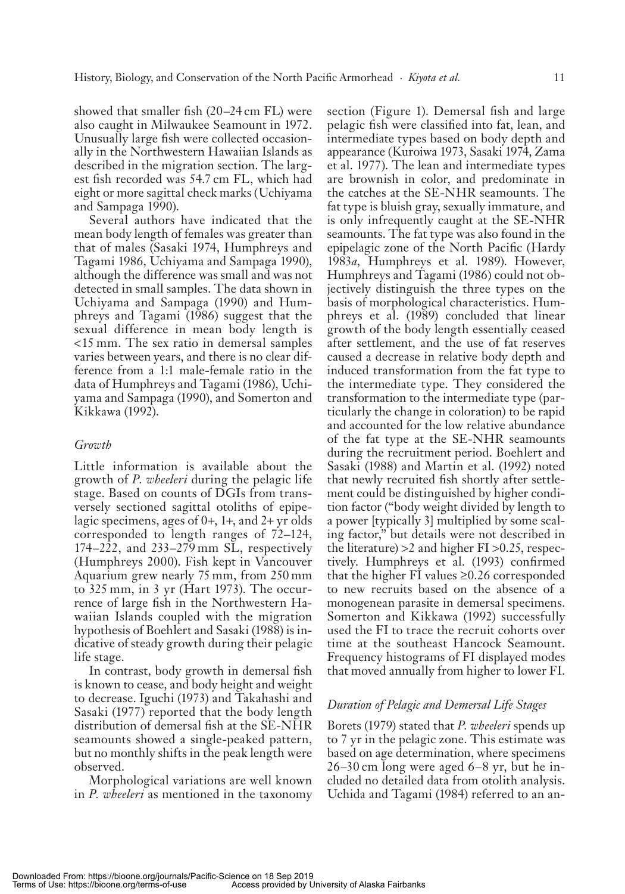showed that smaller fish  $(20-24 \text{ cm } FL)$  were also caught in Milwaukee Seamount in 1972. Unusually large fish were collected occasionally in the Northwestern Hawaiian Islands as described in the migration section. The largest fish recorded was 54.7 cm FL, which had eight or more sagittal check marks (Uchiyama and Sampaga 1990).

Several authors have indicated that the mean body length of females was greater than that of males (Sasaki 1974, Humphreys and Tagami 1986, Uchiyama and Sampaga 1990), although the difference was small and was not detected in small samples. The data shown in Uchiyama and Sampaga (1990) and Humphreys and Tagami (1986) suggest that the sexual difference in mean body length is  $\leq$ 15 mm. The sex ratio in demersal samples varies between years, and there is no clear difference from a 1:1 male-female ratio in the data of Humphreys and Tagami (1986), Uchiyama and Sampaga (1990), and Somerton and Kikkawa (1992).

### *Growth*

Little information is available about the growth of *P. wheeleri* during the pelagic life stage. Based on counts of DGIs from transversely sectioned sagittal otoliths of epipelagic specimens, ages of  $0+, 1+,$  and  $2+$  yr olds corresponded to length ranges of 72–124,  $174 - 222$ , and  $233 - 279$  mm SL, respectively (Humphreys 2000). Fish kept in Vancouver Aquarium grew nearly 75 mm, from 250 mm to  $325 \text{ mm}$ , in 3 yr (Hart 1973). The occurrence of large fish in the Northwestern Hawaiian Islands coupled with the migration hypothesis of Boehlert and Sasaki (1988) is indicative of steady growth during their pelagic life stage.

In contrast, body growth in demersal fish is known to cease, and body height and weight to decrease. Iguchi (1973) and Takahashi and Sasaki (1977) reported that the body length distribution of demersal fish at the SE-NHR sea mounts showed a single-peaked pattern, but no monthly shifts in the peak length were ob served.

Morphological variations are well known in *P. wheeleri* as mentioned in the taxonomy section (Figure 1). Demersal fish and large pelagic fish were classified into fat, lean, and intermediate types based on body depth and ap pear ance (Kuroiwa 1973, Sasaki 1974, Zama et al. 1977). The lean and intermediate types are brown ish in color, and predominate in the catches at the SE-NHR seamounts. The fat type is bluish gray, sexually immature, and is only infrequently caught at the SE-NHR sea mounts. The fat type was also found in the epipelagic zone of the North Pacific (Hardy 1983*a*, Humphreys et al. 1989). However, Humphreys and Tagami (1986) could not objectively distinguish the three types on the basis of morphological characteristics. Humphreys et al. (1989) concluded that linear growth of the body length essentially ceased after settlement, and the use of fat reserves caused a decrease in relative body depth and induced transformation from the fat type to the intermediate type. They considered the transformation to the intermediate type (particularly the change in coloration) to be rapid and accounted for the low relative abundance of the fat type at the SE-NHR seamounts during the recruitment period. Boehlert and Sasaki (1988) and Martin et al. (1992) noted that newly recruited fish shortly after settlement could be distinguished by higher condition factor ("body weight divided by length to a power [typically 3] multiplied by some scaling factor," but details were not described in the literature)  $>2$  and higher FI  $>0.25$ , respectively. Humphreys et al. (1993) confirmed that the higher FI values  $\geq 0.26$  corresponded to new recruits based on the absence of a monogenean parasite in demersal specimens. Somerton and Kikkawa (1992) successfully used the FI to trace the recruit cohorts over time at the southeast Hancock Seamount. Frequency histograms of FI displayed modes that moved annually from higher to lower FI.

# *Duration of Pelagic and Demersal Life Stages*

Borets (1979) stated that *P. wheeleri* spends up to 7 yr in the pelagic zone. This estimate was based on age determination, where specimens  $26 - 30$  cm long were aged  $6 - 8$  yr, but he included no detailed data from otolith analysis. Uchida and Tagami (1984) referred to an an-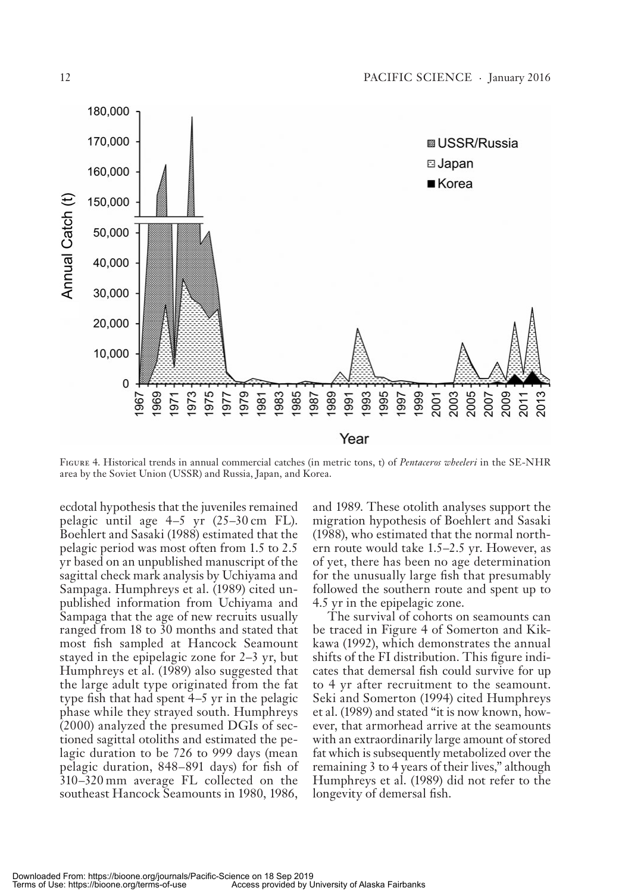

FIGURE 4. Historical trends in annual commercial catches (in metric tons, t) of *Pentaceros wheeleri* in the SE-NHR area by the Soviet Union (USSR) and Russia, Japan, and Korea.

ecdotal hypothesis that the juveniles remained pelagic until age  $4-5$  yr  $(25-30 \text{ cm} \text{ FL})$ . Boehlert and Sasaki (1988) estimated that the pelagic period was most often from 1.5 to 2.5 yr based on an unpublished manuscript of the sagittal check mark analysis by Uchiyama and Sampaga. Humphreys et al. (1989) cited unpublished information from Uchiyama and Sampaga that the age of new recruits usually ranged from 18 to 30 months and stated that most fish sampled at Hancock Seamount stayed in the epipelagic zone for  $2-3$  yr, but Humphreys et al. (1989) also suggested that the large adult type originated from the fat type fish that had spent  $4-5$  yr in the pelagic phase while they strayed south. Humphreys  $(2000)$  analyzed the presumed DGIs of sectioned sagittal otoliths and estimated the pelagic duration to be 726 to 999 days (mean pelagic duration, 848–891 days) for fish of  $310 - 320$  mm average FL collected on the southeast Hancock Seamounts in 1980, 1986,

and 1989. These oto lith analyses support the migration hypothesis of Boehlert and Sasaki (1988), who estimated that the normal northern route would take 1.5–2.5 yr. However, as of yet, there has been no age determination for the unusually large fish that presumably followed the southern route and spent up to 4.5 yr in the epipelagic zone.

The survival of cohorts on seamounts can be traced in Figure 4 of Somerton and Kikkawa (1992), which demonstrates the annual shifts of the FI distribution. This figure indicates that demersal fish could survive for up to 4 yr after recruitment to the seamount. Seki and Somerton (1994) cited Humphreys et al. (1989) and stated " it is now known, however, that armorhead arrive at the seamounts with an extraordinarily large amount of stored fat which is subsequently metabolized over the remaining 3 to 4 years of their lives," although Humphreys et al. (1989) did not refer to the longevity of demersal fish.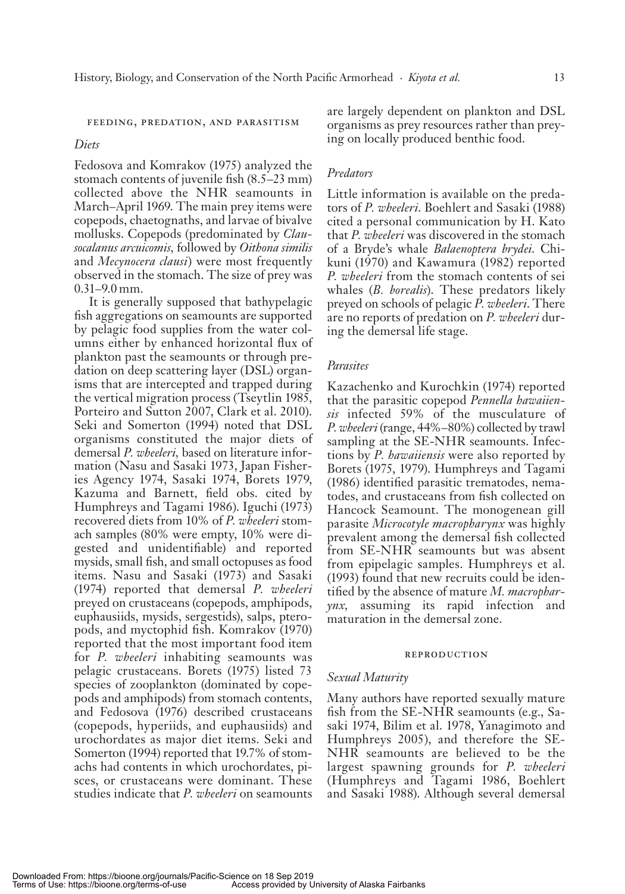#### FEEDING, PREDATION, AND PARASITISM

### *Diets*

Fedosova and Komrakov (1975) analyzed the stomach contents of juvenile fish  $(8.5-23 \text{ mm})$ collected above the NHR seamounts in March-April 1969. The main prey items were copepods, chae to gnaths, and larvae of bivalve mollusks. Copepods (predominated by *Clausocalanus arcuicomis,* followed by *Oithona similis* and *Mecynocera clausi*) were most frequently observed in the stomach. The size of prey was  $0.31 - 9.0$  mm.

It is generally supposed that bathy pelagic fish aggregations on seamounts are supported by pelagic food supplies from the water columns either by enhanced horizontal flux of plank ton past the sea mounts or through predation on deep scattering layer (DSL) organisms that are intercepted and trapped during the vertical migration process (Tseytlin 1985, Porteiro and Sutton 2007, Clark et al. 2010). Seki and Somerton (1994) noted that DSL organisms constituted the major diets of demersal *P. wheeleri*, based on literature information (Nasu and Sasaki 1973, Japan Fisheries Agency 1974, Sasaki 1974, Borets 1979, Kazuma and Barnett, field obs. cited by Humphreys and Tagami 1986). Iguchi (1973) recovered diets from 10% of *P. wheeleri* stomach samples (80% were empty, 10% were digested and unidentifiable) and reported mysids, small fish, and small octopuses as food items. Nasu and Sasaki (1973) and Sasaki (1974) reported that de mer sal *P. wheeleri* preyed on crustaceans (copepods, amphipods, euphausiids, mysids, sergestids), salps, pteropods, and myctophid fish. Komrakov (1970) reported that the most important food item for *P. wheeleri* inhabiting seamounts was pelagic crustaceans. Borets (1975) listed 73 species of zooplankton (dominated by copepods and amphipods) from stomach contents, and Fedosova (1976) described crustaceans (copepods, hyperiids, and euphausiids) and uro chordates as major diet items. Seki and Somerton (1994) reported that 19.7% of stomachs had contents in which uro chordates, pisces, or crustaceans were dominant. These studies indicate that *P. wheeleri* on seamounts

are largely dependent on plankton and DSL organisms as prey resources rather than preying on locally produced benthic food.

### *Predators*

Little information is available on the predators of *P. wheeleri*. Boehlert and Sasaki (1988) cited a personal communication by H. Kato that *P. wheeleri* was discovered in the stomach of a Bryde's whale *Balaenoptera brydei*. Chikuni (1970) and Kawamura (1982) reported P. wheeleri from the stomach contents of sei whales (*B. borealis*). These predators likely preyed on schools of pelagic *P. wheeleri*. There are no reports of predation on *P. wheeleri* during the demersal life stage.

### *Parasites*

Kazachenko and Kurochkin (1974) reported that the parasitic copepod *Pennella hawaiiensis* infected 59% of the musculature of P. wheeleri (range, 44%-80%) collected by trawl sampling at the SE-NHR seamounts. Infections by *P. hawaiiensis* were also reported by Borets (1975, 1979). Humphreys and Tagami (1986) identified parasitic trematodes, nematodes, and crustaceans from fish collected on Hancock Seamount. The monogenean gill par a site *Microcotyle macropharynx* was highly prevalent among the demersal fish collected from SE-NHR seamounts but was absent from epipelagic samples. Humphreys et al.  $(1993)$  found that new recruits could be identified by the absence of mature *M. macropharynx*, assuming its rapid infection and maturation in the demersal zone.

#### **REPRODUCTION**

### *Sexual Maturity*

Many authors have reported sexually mature fish from the  $SE-NHR$  seamounts (e.g., Sasaki 1974, Bilim et al. 1978, Yanagimoto and Humphreys 2005), and therefore the SE-NHR seamounts are believed to be the largest spawning grounds for *P. wheeleri* (Humphreys and Tagami 1986, Boehlert and Sasaki 1988). Although several demersal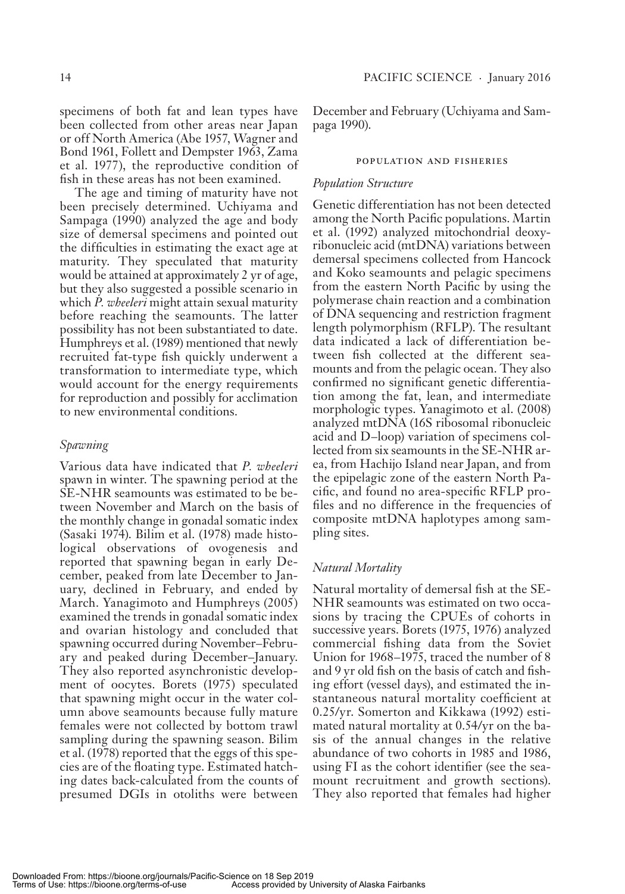specimens of both fat and lean types have been collected from other areas near Japan or off North America (Abe 1957, Wagner and Bond 1961, Follett and Dempster 1963, Zama et al. 1977), the reproductive condition of fish in these areas has not been examined.

The age and timing of maturity have not been precisely determined. Uchiyama and Sampaga (1990) analyzed the age and body size of demersal specimens and pointed out the difficulties in estimating the exact age at maturity. They speculated that maturity would be attained at approximately 2 yr of age, but they also suggested a possible scenario in which *P. wheeleri* might attain sexual maturity before reaching the seamounts. The latter possibility has not been substantiated to date. Humphreys et al. (1989) mentioned that newly recruited fat-type fish quickly underwent a transformation to intermediate type, which would account for the energy requirements for reproduction and possibly for acclimation to new environmental conditions.

# *Spawning*

Various data have indicated that *P. wheeleri* spawn in winter. The spawning period at the SE-NHR seamounts was estimated to be between November and March on the basis of the monthly change in gonadal somatic index (Sasaki 1974). Bilim et al. (1978) made histological observations of ovogenesis and reported that spawning began in early December, peaked from late December to January, declined in February, and ended by March. Yanagimoto and Humphreys (2005) examined the trends in gonadal somatic index and ovarian histology and concluded that spawning occurred during November–February and peaked during December-January. They also reported asynchronistic development of oocytes. Borets (1975) speculated that spawning might occur in the water column above seamounts because fully mature females were not collected by bottom trawl sampling during the spawning season. Bilim et al. (1978) reported that the eggs of this species are of the floating type. Estimated hatching dates back-calculated from the counts of presumed DGIs in otoliths were between

December and February (Uchiyama and Sampaga 1990).

#### POPULATION AND FISHERIES

### *Population Structure*

Genetic differentiation has not been detected among the North Pacific populations. Martin et al. (1992) analyzed mitochondrial deoxyribonucleic acid (mtDNA) variations between demersal specimens collected from Hancock and Koko seamounts and pelagic specimens from the eastern North Pacific by using the polymerase chain reaction and a combination of DNA sequencing and restriction fragment length polymorphism (RFLP). The resultant data indicated a lack of differentiation between fish collected at the different seamounts and from the pelagic ocean. They also confirmed no significant genetic differentiation among the fat, lean, and intermediate morphologic types. Yanagimoto et al. (2008) analyzed mtDNA (16S ribosomal ribonucleic acid and D-loop) variation of specimens collected from six seamounts in the SE-NHR area, from Hachijo Island near Japan, and from the epipelagic zone of the eastern North Pacific, and found no area-specific RFLP profiles and no difference in the frequencies of composite mtDNA haplotypes among sampling sites.

# *Natural Mortality*

Natural mortality of demersal fish at the SE-NHR seamounts was estimated on two occasions by tracing the CPUEs of cohorts in successive years. Borets (1975, 1976) analyzed commercial fishing data from the Soviet Union for 1968–1975, traced the number of 8 and 9 yr old fish on the basis of catch and fishing effort (vessel days), and estimated the instantaneous natural mortality coefficient at 0.25/yr. Somerton and Kikkawa (1992) estimated natural mortality at  $0.54/yr$  on the basis of the annual changes in the relative abundance of two cohorts in 1985 and 1986, using FI as the cohort identifier (see the seamount recruitment and growth sections). They also reported that females had higher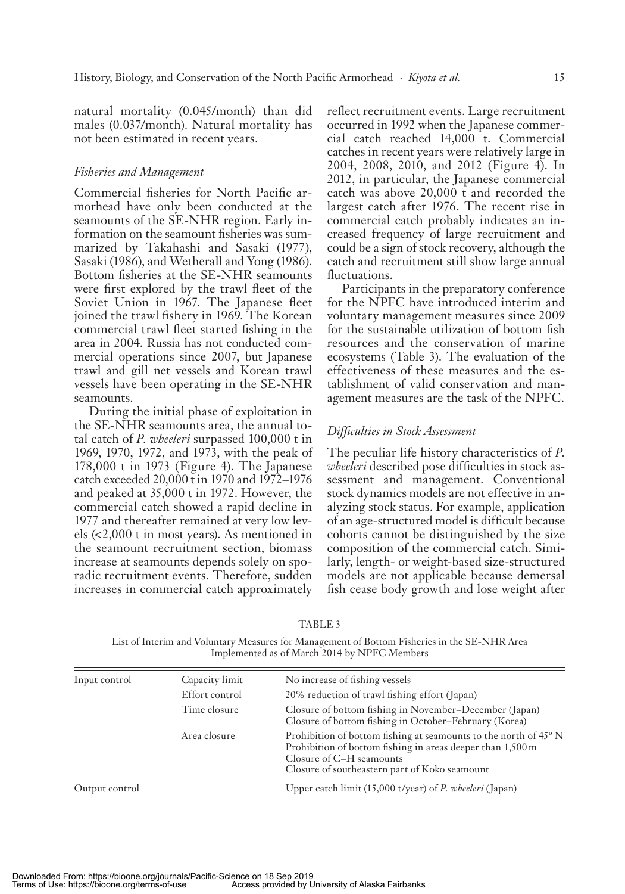natural mortality (0.045/month) than did males  $(0.037/month)$ . Natural mortality has not been estimated in recent years.

### *Fisheries and Management*

Commercial fisheries for North Pacific armorhead have only been conducted at the sea mounts of the SE-NHR region. Early information on the seamount fisheries was summa rized by Takahashi and Sasaki (1977), Sasaki (1986), and Wetherall and Yong (1986). Bottom fisheries at the SE-NHR seamounts were first explored by the trawl fleet of the Soviet Union in 1967. The Japanese fleet joined the trawl fishery in 1969. The Korean commercial trawl fleet started fishing in the area in 2004. Russia has not conducted commercial operations since 2007, but Japanese trawl and gill net vessels and Korean trawl vessels have been operating in the SE-NHR seamounts.

During the initial phase of exploitation in the SE-NHR seamounts area, the annual total catch of *P. wheeleri* surpassed 100,000 t in 1969, 1970, 1972, and 1973, with the peak of  $178,000$  t in  $1973$  (Figure 4). The Japanese catch exceeded 20,000 t in 1970 and 1972-1976 and peaked at 35,000 t in 1972. However, the commercial catch showed a rapid decline in 1977 and thereafter remained at very low levels  $\langle 2,000 \rangle$ t in most years). As mentioned in the seamount recruitment section, biomass increase at seamounts depends solely on sporadic recruitment events. Therefore, sudden increases in commercial catch approximately

reflect recruitment events. Large recruitment occurred in 1992 when the Japanese commercial catch reached 14,000 t. Commercial catches in recent years were relatively large in 2004, 2008, 2010, and 2012 (Figure 4). In 2012, in particular, the Japanese commercial catch was above 20,000 t and recorded the largest catch after 1976. The recent rise in commercial catch probably indicates an increased frequency of large recruitment and could be a sign of stock recovery, although the catch and recruitment still show large annual fluctuations.

Participants in the preparatory conference for the NPFC have introduced interim and voluntary management measures since 2009 for the sustainable utilization of bottom fish resources and the conservation of marine ecosystems (Table 3). The evaluation of the effectiveness of these measures and the establishment of valid conservation and management measures are the task of the NPFC.

# *Diffi culties in Stock Assessment*

The peculiar life history characteristics of *P*. *wheeleri* described pose difficulties in stock assessment and management. Conventional stock dynamics models are not effective in analyzing stock status. For example, application of an age-structured model is difficult because cohorts cannot be distinguished by the size composition of the commercial catch. Similarly, length- or weight-based size-structured models are not applicable because demersal fish cease body growth and lose weight after

| Input control  | Capacity limit | No increase of fishing vessels                                                                                                                                                                                          |
|----------------|----------------|-------------------------------------------------------------------------------------------------------------------------------------------------------------------------------------------------------------------------|
|                | Effort control | 20% reduction of trawl fishing effort (Japan)                                                                                                                                                                           |
|                | Time closure   | Closure of bottom fishing in November-December (Japan)<br>Closure of bottom fishing in October-February (Korea)                                                                                                         |
|                | Area closure   | Prohibition of bottom fishing at seamounts to the north of 45 <sup>°</sup> N<br>Prohibition of bottom fishing in areas deeper than 1,500 m<br>Closure of C–H seamounts<br>Closure of southeastern part of Koko seamount |
| Output control |                | Upper catch limit (15,000 t/year) of P. wheeleri (Japan)                                                                                                                                                                |

TABLE 3

List of Interim and Voluntary Measures for Management of Bottom Fisheries in the SE - NHR Area Implemented as of March 2014 by NPFC Members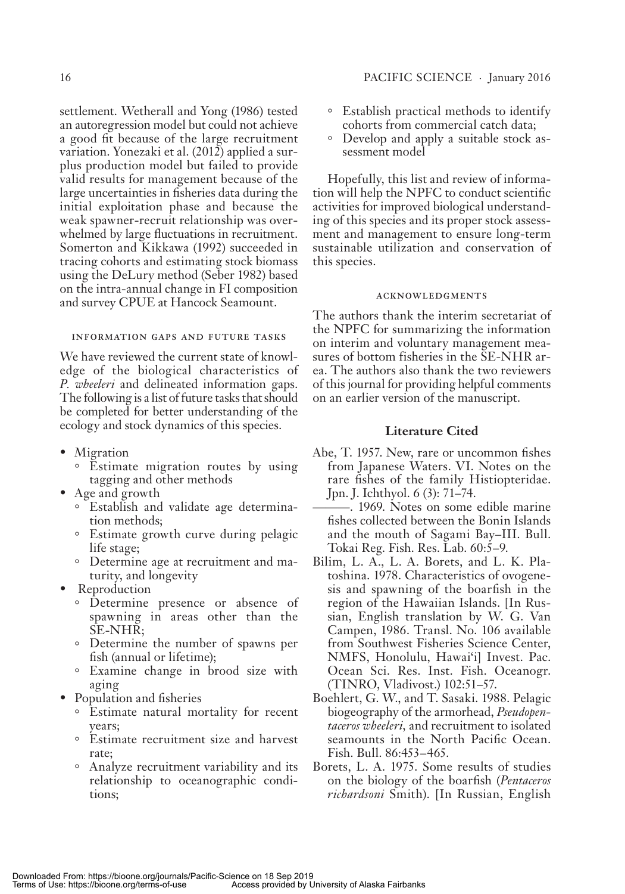settlement. Wetherall and Yong (1986) tested an autoregression model but could not achieve a good fit because of the large recruitment variation. Yonezaki et al. (2012) applied a surplus production model but failed to provide valid results for management because of the large uncertainties in fisheries data during the initial exploitation phase and because the weak spawner-recruit relationship was overwhelmed by large fluctuations in recruitment. Somerton and Kikkawa (1992) succeeded in tracing cohorts and estimating stock biomass using the DeLury method (Seber 1982) based on the intra-annual change in FI composition and survey CPUE at Hancock Seamount.

### INFORMATION GAPS AND FUTURE TASKS

We have reviewed the current state of knowledge of the biological characteristics of *P. wheeleri* and delineated information gaps. The following is a list of future tasks that should be completed for better understanding of the ecology and stock dynamics of this species.

- Migration
	- Estimate migration routes by using tagging and other methods
- Age and growth
	- $\circ$  Establish and validate age determination methods;
	- Estimate growth curve during pelagic life stage;
	- Determine age at recruitment and maturity, and longevity
- Reproduction
	- Determine presence or absence of spawning in areas other than the SE-NHR;
	- ° Determine the num ber of spawns per fish (annual or lifetime);
	- ° Examine change in brood size with aging
- Population and fisheries
	- Estimate natural mortality for recent years;
	- Estimate recruitment size and harvest rate;
	- Analyze recruitment variability and its relation ship to oceanographic conditions;
- Establish practical methods to identify cohorts from commercial catch data;
- Develop and apply a suitable stock assessment model

Hopefully, this list and review of information will help the NPFC to conduct scientific activities for improved biological understanding of this species and its proper stock assessment and management to ensure long-term sustainable utilization and conservation of this species.

### **ACKNOWLEDGMENTS**

The authors thank the interim secretariat of the NPFC for summarizing the information on interim and voluntary management measures of bottom fisheries in the SE-NHR area. The authors also thank the two reviewers of this journal for providing helpful comments on an earlier version of the manuscript.

### **Literature Cited**

- Abe, T. 1957. New, rare or uncommon fishes from Japanese Waters. VI. Notes on the rare fishes of the family Histiopteridae. Jpn. J. Ichthyol. 6 (3): 71–74.
- –. 1969. Notes on some edible marine fishes collected between the Bonin Islands and the mouth of Sagami Bay-III. Bull. Tokai Reg. Fish. Res. Lab. 60:5–9.
- Bilim, L. A., L. A. Borets, and L. K. Platoshina. 1978. Characteristics of ovogenesis and spawning of the boarfish in the region of the Hawaiian Islands. [In Russian, English translation by W. G. Van Campen, 1986. Transl. No. 106 available from Southwest Fisheries Science Center, NMFS, Honolulu, Hawai'i] Invest. Pac. Ocean Sci. Res. Inst. Fish. Oceanogr. (TINRO, Vladivost.) 102:51–57.
- Boehlert, G. W., and T. Sasaki. 1988. Pelagic bio ge og ra phy of the armorhead, *Pseudopentaceros wheeleri*, and recruitment to isolated seamounts in the North Pacific Ocean. Fish. Bull. 86:453 – 465.
- Borets, L. A. 1975. Some results of studies on the biology of the boarfish (*Pentaceros richardsoni* Smith). [In Russian, English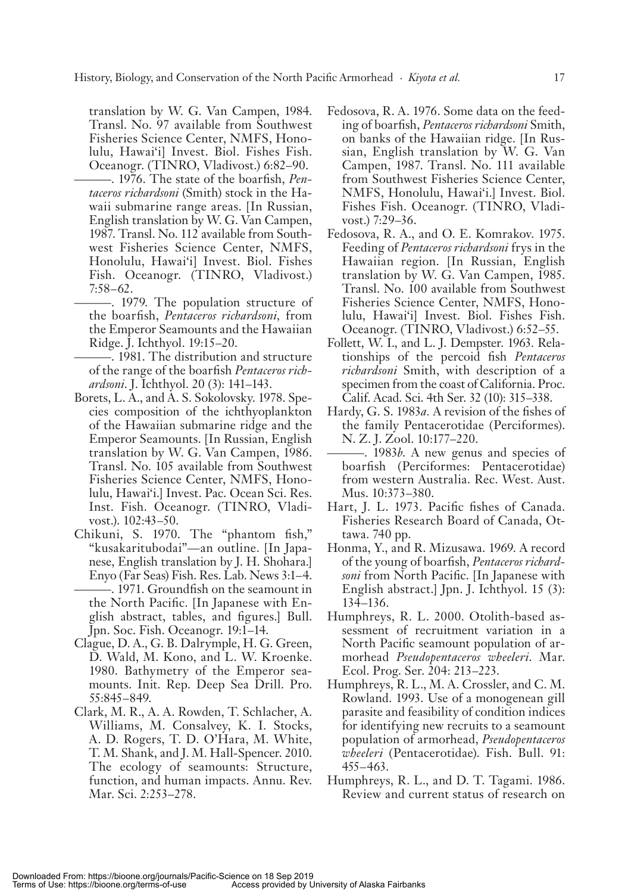translation by W. G. Van Campen, 1984. Transl. No. 97 available from Southwest Fisheries Science Center, NMFS, Honolulu, Hawaiʻi] Invest. Biol. Fishes Fish. Oceanogr. (TINRO, Vladivost.) 6:82–90.

- -. 1976. The state of the boarfish, *Pentaceros richardsoni* (Smith) stock in the Hawaii submarine range areas. [In Russian, English translation by W. G. Van Campen, 1987. Transl. No. 112 available from Southwest Fisheries Science Center, NMFS, Honolulu, Hawai'i] Invest. Biol. Fishes Fish. Oceanogr. (TINRO, Vladivost.)  $7:58 - 62$ .
- 1979. The population structure of the boarfish, *Pentaceros richardsoni*, from the Emperor Seamounts and the Hawaiian Ridge. J. Ichthyol. 19:15–20.
- -. 1981. The distribution and structure of the range of the boarfish Pentaceros rich*ardsoni*. J. Ichthyol. 20 (3): 141–143.
- Borets, L. A., and A. S. Sokolovsky. 1978. Species composition of the ichthyoplankton of the Hawaiian submarine ridge and the Emperor Seamounts. [In Russian, English translation by W. G. Van Campen, 1986. Transl. No. 105 available from Southwest Fisheries Science Center, NMFS, Honolulu, Hawai'i.] Invest. Pac. Ocean Sci. Res. Inst. Fish. Oceanogr. (TINRO, Vladivost.). 102:43–50.
- Chikuni, S. 1970. The "phantom fish," "kusakaritubodai"—an outline. [In Japanese, English translation by J. H. Shohara.] Enyo (Far Seas) Fish. Res. Lab. News 3:1–4.
	- –. 1971. Groundfish on the seamount in the North Pacific. [In Japanese with English abstract, tables, and figures. Bull. Jpn. Soc. Fish. Oceanogr. 19:1-14.
- Clague, D. A., G. B. Dalrymple, H. G. Green, D. Wald, M. Kono, and L. W. Kroenke. 1980. Bathymetry of the Emperor seamounts. Init. Rep. Deep Sea Drill. Pro. 55:845 – 849.
- Clark, M. R., A. A. Rowden, T. Schlacher, A. Williams, M. Consalvey, K. I. Stocks, A. D. Rogers, T. D. O'Hara, M. White, T. M. Shank, and J. M. Hall-Spencer. 2010. The ecology of seamounts: Structure, function, and human impacts. Annu. Rev. Mar. Sci. 2:253–278.
- Fedosova, R. A. 1976. Some data on the feeding of boarfish, *Pentaceros richardsoni* Smith, on banks of the Hawaiian ridge. [In Russian, English translation by W. G. Van Campen, 1987. Transl. No. 111 available from Southwest Fisheries Science Center, NMFS, Honolulu, Hawai'i.] Invest. Biol. Fishes Fish. Oceanogr. (TINRO, Vladivost.) 7:29–36.
- Fedosova, R. A., and O. E. Komrakov. 1975. Feeding of *Pentaceros richardsoni* frys in the Hawaiian region. [In Russian, English translation by W. G. Van Campen, 1985. Transl. No. 100 available from Southwest Fisheries Science Center, NMFS, Honolulu, Hawai'i] Invest. Biol. Fishes Fish. Oceanogr. (TINRO, Vladivost.) 6:52–55.
- Follett, W. I., and L. J. Dempster. 1963. Relationships of the percoid fish *Pentaceros* richardsoni Smith, with description of a specimen from the coast of California. Proc. Calif. Acad. Sci. 4th Ser. 32 (10): 315–338.
- Hardy, G. S. 1983*a*. A revision of the fishes of the fam ily Pentacerotidae (Perciformes). N. Z. J. Zool. 10:177–220.
- -. 1983*b*. A new genus and species of boarfish (Perciformes: Pentacerotidae) from western Australia. Rec. West. Aust. Mus. 10:373-380.
- Hart, J. L. 1973. Pacific fishes of Canada. Fisheries Research Board of Canada, Ottawa. 740 pp.
- Honma, Y., and R. Mizusawa. 1969. A record of the young of boarfish, *Pentaceros richardsoni* from North Pacific. [In Japanese with English abstract.] Jpn. J. Ichthyol. 15 (3): 134-136.
- Humphreys, R. L. 2000. Otolith-based assessment of recruitment variation in a North Pacific seamount population of armorhead *Pseudopentaceros wheeleri*. Mar. Ecol. Prog. Ser. 204: 213–223.
- Humphreys, R. L., M. A. Crossler, and C. M. Rowland. 1993. Use of a monogenean gill par a site and feasibility of condition indices for identifying new recruits to a seamount population of armorhead, *Pseudopentaceros wheeleri* (Pentacerotidae). Fish. Bull. 91: 455 – 463.
- Humphreys, R. L., and D. T. Tagami. 1986. Review and current status of research on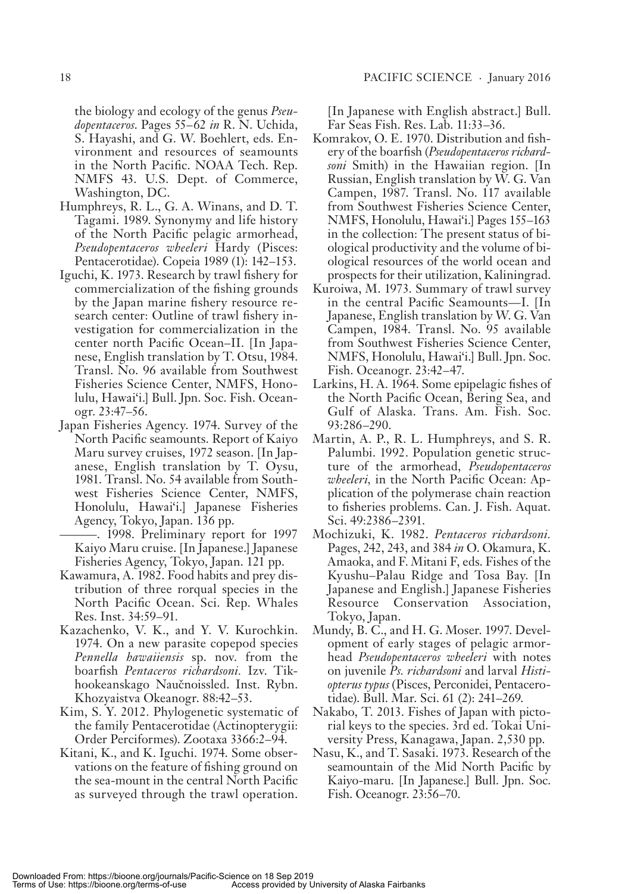the biology and ecology of the genus *Pseudopentaceros*. Pages 55 – 62 *in* R. N. Uchida, S. Hayashi, and G. W. Boehlert, eds. Environment and resources of seamounts in the North Pacific. NOAA Tech. Rep. NMFS 43. U.S. Dept. of Commerce, Washington, DC.

- Humphreys, R. L., G. A. Winans, and D. T. Tagami. 1989. Synonymy and life history of the North Pacific pelagic armorhead, *Pseudopentaceros wheeleri* Hardy (Pisces: Pentacerotidae). Copeia 1989 (1): 142–153.
- Iguchi, K. 1973. Research by trawl fishery for commercialization of the fishing grounds by the Japan marine fishery resource research center: Outline of trawl fishery investigation for commercialization in the center north Pacific Ocean-II. [In Japanese, English translation by T. Otsu, 1984. Transl. No. 96 available from Southwest Fisheries Science Center, NMFS, Honolulu, Hawai'i.] Bull. Jpn. Soc. Fish. Oceanogr. 23:47–56.
- Japan Fisheries Agency. 1974. Survey of the North Pacific seamounts. Report of Kaiyo Maru survey cruises, 1972 season. [In Japanese, English translation by T. Oysu, 1981. Transl. No. 54 available from Southwest Fisheries Science Center, NMFS, Honolulu, Hawai'i.] Japanese Fisheries Agency, Tokyo, Japan. 136 pp.
	- — . 1998. Preliminary re port for 1997 Kaiyo Maru cruise. [In Japanese.] Japanese Fisheries Agency, Tokyo, Japan. 121 pp.
- Kawamura, A. 1982. Food habits and prey distribution of three rorqual species in the North Pacific Ocean. Sci. Rep. Whales Res. Inst. 34:59-91.
- Kazachenko, V. K., and Y. V. Kurochkin. 1974. On a new parasite copepod species *Pennella hawaiiensis* sp. nov. from the boarfish *Pentaceros richardsoni*. Izv. Tikhookeanskago Naučnoissled. Inst. Rybn. Khozyaistva Okeanogr. 88:42–53.
- Kim, S. Y. 2012. Phylogenetic systematic of the fam ily Pentacerotidae (Actinopterygii: Order Perciformes). Zootaxa 3366:2-94.
- Kitani, K., and K. Iguchi. 1974. Some observations on the feature of fishing ground on the sea-mount in the central North Pacific as surveyed through the trawl operation.

[In Japanese with English abstract.] Bull. Far Seas Fish. Res. Lab. 11:33-36.

- Komrakov, O. E. 1970. Distribution and fishery of the boarfish (Pseudopentaceros richard*soni* Smith) in the Hawaiian region. [In Russian, English translation by W. G. Van Campen, 1987. Transl. No. 117 available from Southwest Fisheries Science Center, NMFS, Honolulu, Hawai'i.] Pages 155-163 in the collection: The present status of biological productivity and the volume of biological resources of the world ocean and prospects for their utilization, Kaliningrad.
- Kuroiwa, M. 1973. Summary of trawl survey in the central Pacific Seamounts—I. [In Japanese, English translation by W. G. Van Campen, 1984. Transl. No. 95 available from Southwest Fisheries Science Center, NMFS, Honolulu, Hawai'i.] Bull. Jpn. Soc. Fish. Oceanogr. 23:42 – 47.
- Larkins, H. A. 1964. Some epipelagic fishes of the North Pacific Ocean, Bering Sea, and Gulf of Alaska. Trans. Am. Fish. Soc. 93:286-290.
- Martin, A. P., R. L. Humphreys, and S. R. Palumbi. 1992. Population genetic structure of the armorhead, *Pseudopentaceros wheeleri*, in the North Pacific Ocean: Application of the polymerase chain reaction to fisheries problems. Can. J. Fish. Aquat. Sci. 49:2386–2391.
- Mochizuki, K. 1982. *Pentaceros richardsoni.* Pages, 242, 243, and 384 *in* O. Okamura, K. Amaoka, and F. Mitani F, eds. Fishes of the Kyushu-Palau Ridge and Tosa Bay. [In Japanese and English.] Japanese Fisheries Resource Conservation Association, Tokyo, Japan.
- Mundy, B. C., and H. G. Moser. 1997. Development of early stages of pelagic armorhead *Pseudopentaceros wheeleri* with notes on ju ve nile *Ps. richardsoni* and lar val *Histiopterus typus* (Pisces, Perconidei, Pentacerotidae). Bull. Mar. Sci. 61 (2): 241-269.
- Nakabo, T. 2013. Fishes of Japan with pictorial keys to the species. 3rd ed. Tokai University Press, Kanagawa, Japan. 2,530 pp.
- Nasu, K., and T. Sasaki. 1973. Research of the seamountain of the Mid North Pacific by Kaiyo-maru. [In Japanese.] Bull. Jpn. Soc. Fish. Oceanogr. 23:56–70.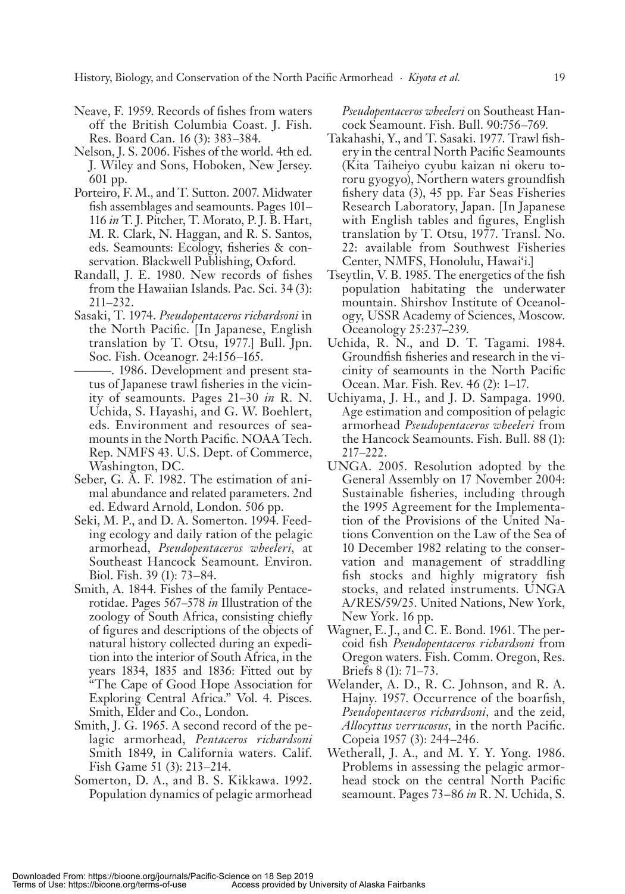- Neave, F. 1959. Records of fishes from waters off the British Columbia Coast. J. Fish. Res. Board Can. 16 (3): 383 – 384.
- Nelson, J. S. 2006. Fishes of the world. 4th ed. J. Wiley and Sons, Hoboken, New Jersey. 601 pp.
- Porteiro, F. M., and T. Sutton. 2007. Midwater fish assemblages and seamounts. Pages 101– 116 *in* T. J. Pitcher, T. Morato, P. J. B. Hart, M. R. Clark, N. Haggan, and R. S. Santos, eds. Seamounts: Ecology, fisheries & conservation. Blackwell Publishing, Oxford.
- Randall, J. E. 1980. New records of fishes from the Hawaiian Islands. Pac. Sci. 34(3):  $211 - 232$ .
- Sasaki, T. 1974. *Pseudopentaceros richardsoni* in the North Pacific. [In Japanese, English translation by T. Otsu, 1977.] Bull. Jpn. Soc. Fish. Oceanogr. 24:156–165.
- 1986. Development and present status of Japanese trawl fisheries in the vicinity of seamounts. Pages 21–30 *in* R. N. Uchida, S. Hayashi, and G. W. Boehlert, eds. Environment and resources of seamounts in the North Pacific. NOAA Tech. Rep. NMFS 43. U.S. Dept. of Commerce, Washington, DC.
- Seber, G. A. F. 1982. The estimation of animal abundance and related parameters. 2nd ed. Edward Arnold, London. 506 pp.
- Seki, M. P., and D. A. Somerton. 1994. Feeding ecology and daily ration of the pelagic armorhead, *Pseudopentaceros wheeleri,* at Southeast Hancock Seamount. Environ. Biol. Fish. 39 (1): 73 – 84.
- Smith, A. 1844. Fishes of the family Pentacerotidae. Pages 567–578 *in* Illustration of the zoology of South Africa, consisting chiefly of figures and descriptions of the objects of natural history collected during an expedition into the interior of South Africa, in the years 1834, 1835 and 1836: Fitted out by " The Cape of Good Hope Association for Exploring Central Africa." Vol. 4. Pisces. Smith, Elder and Co., London.
- Smith, J. G. 1965. A second record of the pelagic armorhead, *Pentaceros richardsoni* Smith 1849, in California waters. Calif. Fish Game 51 (3): 213-214.
- Somerton, D. A., and B. S. Kikkawa. 1992. Population dynamics of pelagic armorhead

*Pseudopentaceros wheeleri* on Southeast Hancock Seamount. Fish. Bull. 90:756-769.

- Takahashi, Y., and T. Sasaki. 1977. Trawl fishery in the central North Pacific Seamounts (Kita Taiheiyo cyubu kaizan ni okeru tororu gyogyo), Northern waters ground fish fishery data  $(3)$ , 45 pp. Far Seas Fisheries Research Laboratory, Japan. [In Japanese with English tables and figures, English translation by T. Otsu, 1977. Transl. No. 22: available from Southwest Fisheries Center, NMFS, Honolulu, Hawai'i.]
- Tseytlin, V. B. 1985. The energetics of the fish population habitating the underwater mountain. Shirshov Institute of Oceanology, USSR Academy of Sciences, Moscow. Oceanology 25:237–239.
- Uchida, R. N., and D. T. Tagami. 1984. Groundfish fisheries and research in the vicinity of seamounts in the North Pacific Ocean. Mar. Fish. Rev. 46 (2): 1–17.
- Uchiyama, J. H., and J. D. Sampaga. 1990. Age estimation and composition of pelagic armorhead *Pseudopentaceros wheeleri* from the Hancock Seamounts. Fish. Bull. 88 (1): 217 – 222.
- UNGA. 2005. Resolution adopted by the General Assembly on 17 November 2004: Sustainable fisheries, including through the 1995 Agreement for the Implementation of the Provisions of the United Nations Convention on the Law of the Sea of 10 December 1982 relating to the conservation and management of straddling fish stocks and highly migratory fish stocks, and related instruments. UNGA A/RES/59/25. United Nations, New York, New York. 16 pp.
- Wagner, E. J., and C. E. Bond. 1961. The percoid fish *Pseudopentaceros richardsoni* from Oregon waters. Fish. Comm. Oregon, Res. Briefs  $8$  (1):  $71-73$ .
- Welander, A. D., R. C. Johnson, and R. A. Hajny. 1957. Occurrence of the boarfish, *Pseudopentaceros richardsoni,* and the zeid, Allocyttus verrucosus, in the north Pacific. Copeia 1957 (3): 244–246.
- Wetherall, J. A., and M. Y. Y. Yong. 1986. Problems in assessing the pelagic armorhead stock on the central North Pacific sea mount. Pages 73 – 86 *in* R. N. Uchida, S.